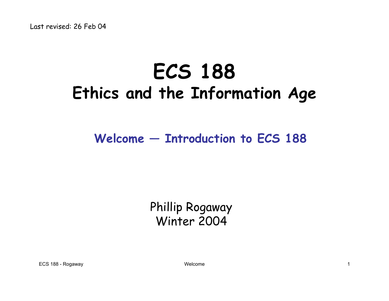# **ECS 188 Ethics and the Information Age**

#### **Welcome — Introduction to ECS 188**

#### Phillip Rogaway Winter 2004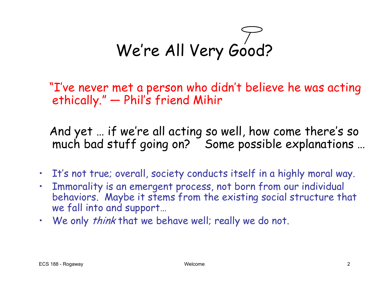We're All Very Good?

"I've never met a person who didn't believe he was acting ethically." —Phil's friend Mihir

And yet … if we're all acting so well, how come there's so much bad stuff going on? Some possible explanations …

- It's not true; overall, society conducts itself in a highly moral way.
- Immorality is an emergent process, not born from our individual behaviors. Maybe it stems from the existing social structure that we fall into and support…
- We only *think* that we behave well; really we do not.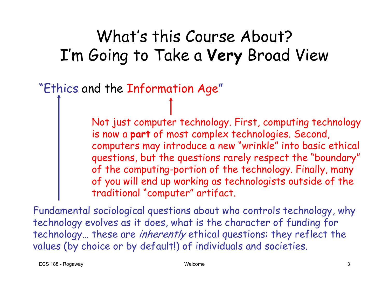#### What's this Course About? I'm Going to Take a **Very** Broad View

"Ethics and the Information Age "

Not just computer technology. First, computing technology is now a **par<sup>t</sup>** of most complex technologies. Second, computers may introduce a new "wrinkle" into basic ethical questions, but the questions rarely respect the "boundary" of the computing-portion of the technology. Finally, many of you will e nd up working as technologists outside of the traditional "computer" artifact.

Fundamental sociological questions about who controls technology, why technology evolves as it does, what is the character of funding for technology… these are *inherently* ethical questions: they reflect the values (by choice or by default!) of individuals and societies.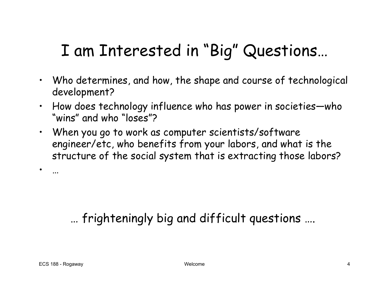### I am Interested in "Big" Questions…

- Who determines, and how, the shape and course of technological development?
- How does technology influence who has power in societies—who "wins" and who "loses"?
- When you go to work as computer scientists/software engineer/etc, who benefits from your labors, and what is the structure of the social system that is extracting those labors?

#### … frighteningly big and difficult questions ….

•

…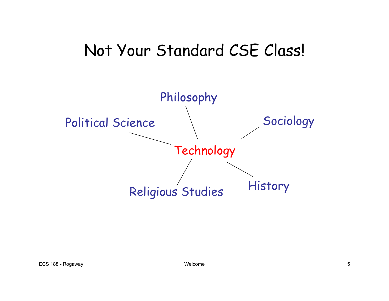#### Not Your Standard CSE Class!

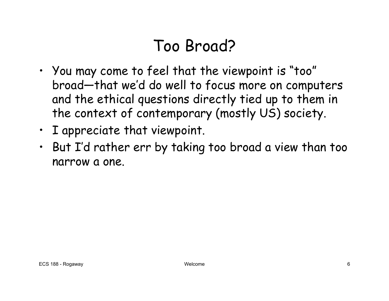### Too Broad?

- You may come to feel that the viewpoint is "too" broad—that we'd do well to focus more on computers and the ethical questions directly tied up to them in the context of contemporary (mostly US) society.
- I appreciate that viewpoint.
- But I'd rather err by taking too broad a view than too narrow a one.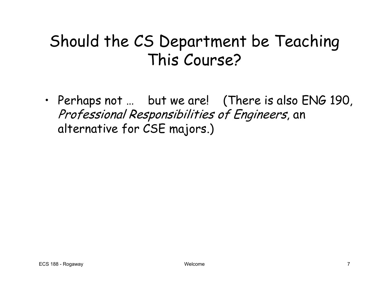#### Should the CS Department be Teaching This Course?

• Perhaps not … but we are! (There is also ENG 190, Professional Responsibilities of Engineers, an alternative for CSE majors.)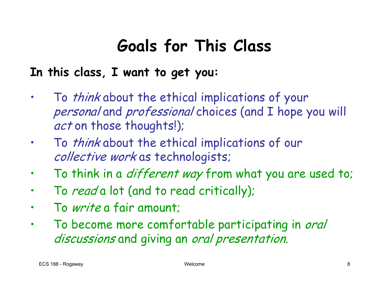# **Goals for This Class**

#### **In this class, I want to get you:**

- •To *think* about the ethical implications of your personal and professional choices (and I hope you will act on those thoughts!);
- $\bullet$ To *think* about the ethical implications of our collective work as technologists;
- $\bullet$ To think in a *different way* from what you are used to;
- •To *read* a lot (and to read critically);
- •T<sup>o</sup> write a fair amount;
- •To become more comfortable participating in oral discussions and giving an oral presentation.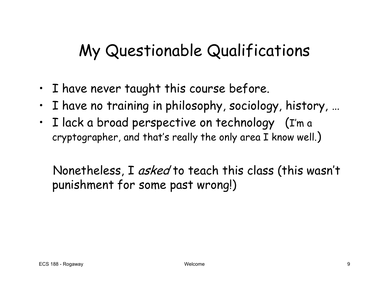# My Questionable Qualifications

- I have never taught this course before.
- •I have no training in philosophy, sociology, history, …
- I lack a broad perspective on technology (I'm a cryptographer, and that's really the only area I know well. )

Nonetheless, I asked to teach this class (this wasn't punishment for some past wrong!)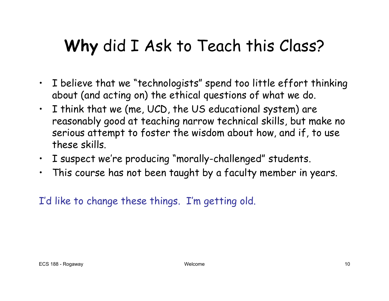# **Why** did I Ask to Teach this Class?

- I believe that we "technologists " spend too little effort thinking about (and acting on) the ethical questions of what we do.
- I think that we (me, UCD, the US educational system) are reasonably good at teaching narrow technical skills, but make no serious attempt to foster the wisdom about how, and if, to use these skills.
- I suspect we're producing "morally-challenged" students.
- •This course has not been taught by a faculty member in years.

I'd like to change these things. I'm getting old.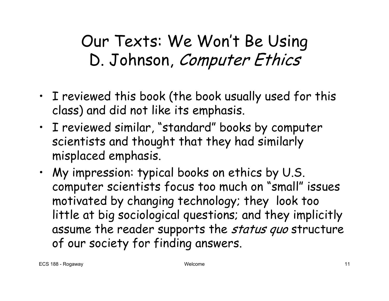Our Texts: We Won't Be Using D. Johnson, Computer Ethics

- I reviewed this book (the book usually used for this class ) and did not like its emphasis.
- I reviewed similar, "standard" books by computer scientists and thought that they had similarly misplaced emphasis.
- My impression: typical books on ethics by U.S. computer scientists focus too much on "small" issues motivated by changing technology; they look too little at big sociological questions; and they implicitly assume the reader supports the status quo structure of our society for finding answers.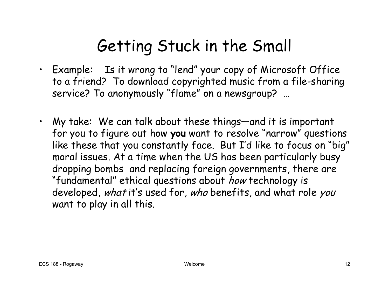# Getting Stuck in the Small

- Example: Is it wrong to "lend" your copy of Microsoft Office to a friend? To download copyrighted music from a file-sharing service? To anonymously "flame" on a newsgroup? …
- My take: We can talk about these things—and it is important for you to figure out how **you** want to resolve "narrow" questions like these that you constantly face. But I'd like to focus on "big" moral issues. At a time when the US has been particularly busy dropping bombs and replacing foreign governm ents, there are "fundamental" ethical questions about *how* technology is developed, what it's used for, who benefits, and what role you want to play in all this.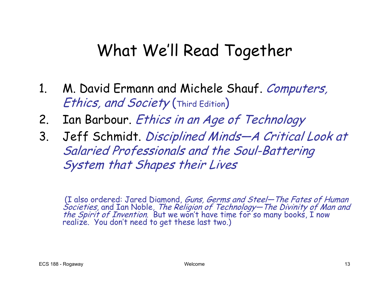## What We'll Read Together

- 1. M. David Ermann and Michele Shauf. Computers, Ethics, and Society (Third Edition)
- 2. Ian Barbour. Ethics in an Age of Technology
- 3. Jeff Schmidt. Disciplined Minds—A Critical Look at Salaried Professionals and the Soul-Battering System that Shapes their Lives

(I also o rdered: Jared Diamond, Guns, Germs and Steel—The Fates of Human Societies, and Ian Noble, The Religion of Technology—The Divinity of Man and<br>the Spirit of Invention. But we won't have time for so many books, I now d to get the s e last two.)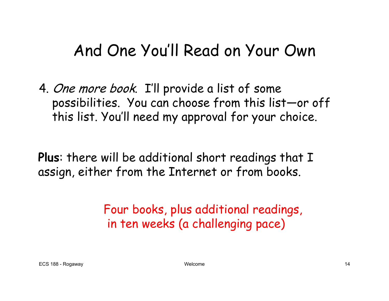#### And One You'll Read on Your Own

4. One more book. I'll provide a list of some possibilities. You can choose from this list—or off this list. You'll need my approval for your choice.

**Plus**: there will be additional short readings that I assign, either from the Internet or from books.

> Four books, plus additional readings, in ten weeks (a challenging pace)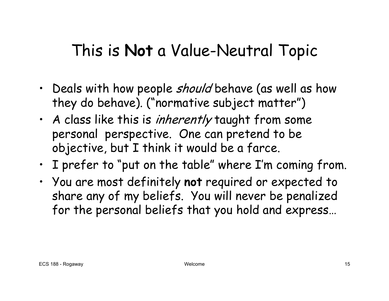#### This is **Not** a Value-Neutral Topic

- Deals with how people *should* behave (as well as how they do behave). ("normative subject matter")
- A class like this is *inherently* taught from some personal perspective. One can pretend to be objective, but I think it would be a farce.
- $\,\cdot\,$  I prefer to "put on the table" where I'm coming from.
- You are most definitely **not** required or expected to share any of my beliefs. You will never be penalized for the personal beliefs that you hold and express…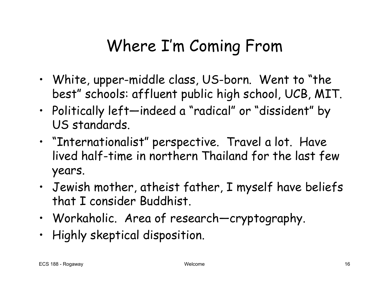# Where I'm Coming From

- White, upper-middle class, U S-born. Went to "the best" schools: affluent public high school, UCB, MIT.
- Politically left—indeed a "radical" or "dissident" by US standards.
- "Internationalist" perspective. Travel a lot. Have lived half-time in northern Thailand for the last few years.
- Jewish mother, atheist father, I myself have beliefs that I consider Buddhist.
- Workaholic. Area of research—cryptography.
- Highly skeptical disposition.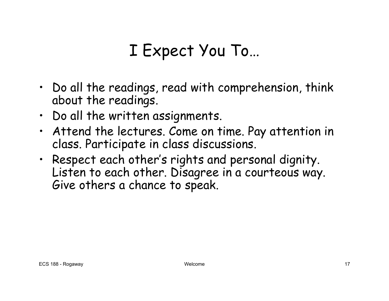### I Expect You To…

- Do all the readings, read with comprehension, think about the readings.
- Do all the written assignments.
- Attend the lectures. Come on time. Pay attention in class. Participate in class discussions.
- Respect each other's rights and personal dignity. Listen to each other. Disagree in a courteous way. Give others a chance to speak.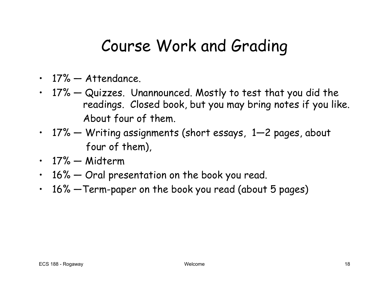#### Course Work and Grading

- 17% Attendance.
- 17% Quizzes. Unannounced. Mostly to test that you did the readings. Closed book, but you may bring notes if you like. About four of them.
- 17% Writing assignments (short essays, 1—2 pages, about four of them),
- 17% Midterm
- 16% Oral presentation on the book you read.
- 16% —Term-paper on the book you read (about 5 pages)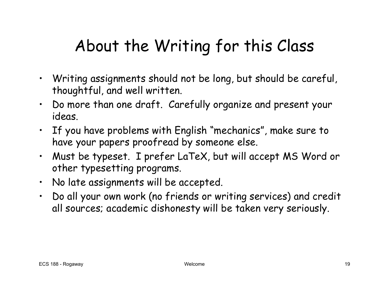# About the Writing for this Class

- Writing assignments should not be long, b ut should b e careful, thoughtful, and well written.
- $\,\cdot\,\,$  Do more than one draft. Carefully organize and present your ideas.
- $\cdot$   $\;$  If you have problems with English "mechanics", make sure to  $\;$ have your papers p roofread by someone else.
- Must be typeset. I prefer LaTeX, but will accept MS Word or other typesetting programs.
- No late assignments will be accepted.
- Do all your own work (no friends or writing services) and credit all sources; academic dishonesty will be taken very seriously.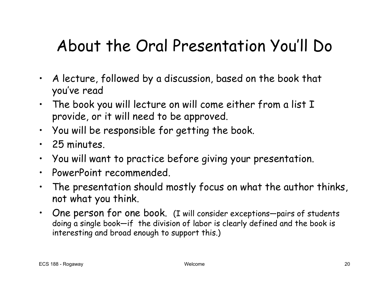# About the Oral Presentation You'll Do

- • A lecture, followed by a discussion, based on the book that you've read
- $\,\cdot\,$  The book you will lecture on will come either from a list  $\rm I$ provide, or it will need to be approved.
- You will be responsible for getting the book.
- 25 minutes.
- •You will want to practice before giving your presentation.
- $\bullet$ PowerPoint recommended.
- • The presentation should mostly focus on what the author thinks, not what you think.
- One person for one book. (I will consider exceptions-pairs of students doing a single book—if the division of labor is clearly defined and the book is interesting and broad e nough to support this.)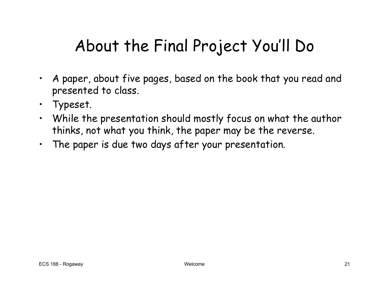# About the Final Project You'll Do

- $\bullet$  A paper, about five pages, based on the book that you read and presented to class.
- •Typeset.
- $\bullet$  While the presentation should mostly focus on what the author thinks, not what you think, the paper may be the reverse.
- •The paper is due two days after your presentation.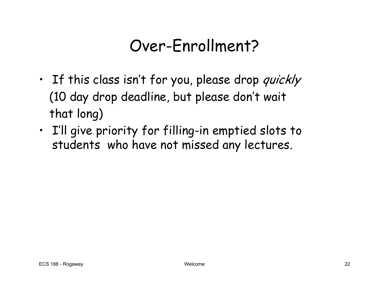#### Over-Enrollment?

- If this class isn't for you, please drop *quickly* (10 day drop deadline, but please don't wait that long)
- I'll give priority for filling-in emptied slots to students who have not missed any lectures.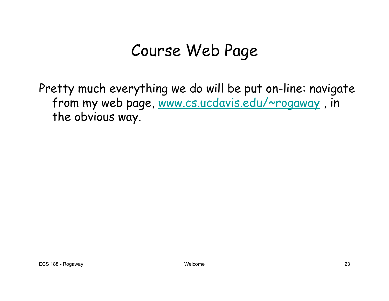### Course Web Page

Pretty much everything we do will be put on-line: navigate from my web page, [www.cs.ucdavis.edu/~rogaway](http://www.cs.ucdavis.edu/~rogaway) , in the obvious way.